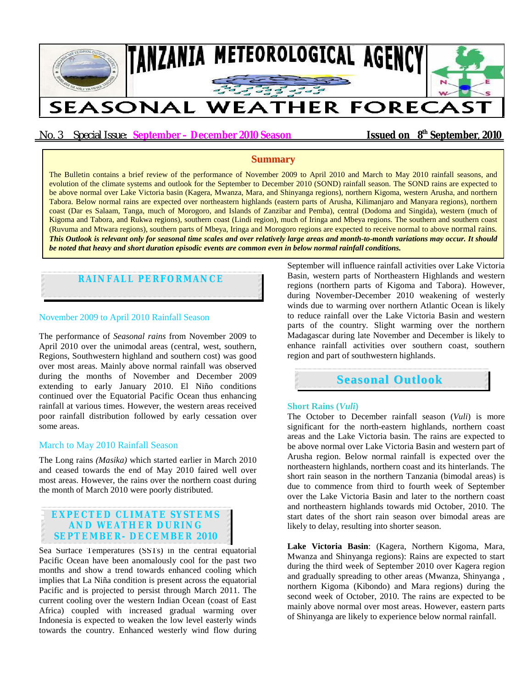

# No. 3 Special Issue: **September – December 2010 Season Issued on 8<sup>th</sup> September, 2010**

## **Summary**

The Bulletin contains a brief review of the performance of November 2009 to April 2010 and March to May 2010 rainfall seasons, and evolution of the climate systems and outlook for the September to December 2010 (SOND) rainfall season. The SOND rains are expected to be above normal over Lake Victoria basin (Kagera, Mwanza, Mara, and Shinyanga regions), northern Kigoma, western Arusha, and northern Tabora. Below normal rains are expected over northeastern highlands (eastern parts of Arusha, Kilimanjaro and Manyara regions), northern coast (Dar es Salaam, Tanga, much of Morogoro, and Islands of Zanzibar and Pemba), central (Dodoma and Singida), western (much of Kigoma and Tabora, and Rukwa regions), southern coast (Lindi region), much of Iringa and Mbeya regions. The southern and southern coast (Ruvuma and Mtwara regions), southern parts of Mbeya, Iringa and Morogoro regions are expected to receive normal to above normal rains*. This Outlook is relevant only for seasonal time scales and over relatively large areas and month-to-month variations may occur. It should be noted that heavy and short duration episodic events are common even in below normal rainfall conditions.*

# **RAINFALL PERFORMANCE**

### November 2009 to April 2010 Rainfall Season

The performance of *Seasonal rains* from November 2009 to April 2010 over the unimodal areas (central, west, southern, Regions, Southwestern highland and southern cost) was good over most areas. Mainly above normal rainfall was observed during the months of November and December 2009 extending to early January 2010. El Niño conditions continued over the Equatorial Pacific Ocean thus enhancing rainfall at various times. However, the western areas received poor rainfall distribution followed by early cessation over some areas.

#### March to May 2010 Rainfall Season

The Long rains *(Masika)* which started earlier in March 2010 and ceased towards the end of May 2010 faired well over most areas. However, the rains over the northern coast during the month of March 2010 were poorly distributed.

# **EXPECTED CLIMATE SYSTEMS AND WEATHER DURING SEPTEMBER- DECEMBER 2010**

Sea Surface Temperatures (SSTs) in the central equatorial Pacific Ocean have been anomalously cool for the past two months and show a trend towards enhanced cooling which implies that La Niña condition is present across the equatorial Pacific and is projected to persist through March 2011. The current cooling over the western Indian Ocean (coast of East Africa) coupled with increased gradual warming over Indonesia is expected to weaken the low level easterly winds towards the country. Enhanced westerly wind flow during September will influence rainfall activities over Lake Victoria Basin, western parts of Northeastern Highlands and western regions (northern parts of Kigoma and Tabora). However, during November-December 2010 weakening of westerly winds due to warming over northern Atlantic Ocean is likely to reduce rainfall over the Lake Victoria Basin and western parts of the country. Slight warming over the northern Madagascar during late November and December is likely to enhance rainfall activities over southern coast, southern region and part of southwestern highlands.

# **Seasonal Outlook**

#### **Short Rains (***Vuli***)**

The October to December rainfall season (*Vuli*) is more significant for the north-eastern highlands, northern coast areas and the Lake Victoria basin. The rains are expected to be above normal over Lake Victoria Basin and western part of Arusha region. Below normal rainfall is expected over the northeastern highlands, northern coast and its hinterlands. The short rain season in the northern Tanzania (bimodal areas) is due to commence from third to fourth week of September over the Lake Victoria Basin and later to the northern coast and northeastern highlands towards mid October, 2010. The start dates of the short rain season over bimodal areas are likely to delay, resulting into shorter season.

**Lake Victoria Basin**: (Kagera, Northern Kigoma, Mara, Mwanza and Shinyanga regions): Rains are expected to start during the third week of September 2010 over Kagera region and gradually spreading to other areas (Mwanza, Shinyanga , northern Kigoma (Kibondo) and Mara regions) during the second week of October, 2010. The rains are expected to be mainly above normal over most areas. However, eastern parts of Shinyanga are likely to experience below normal rainfall.